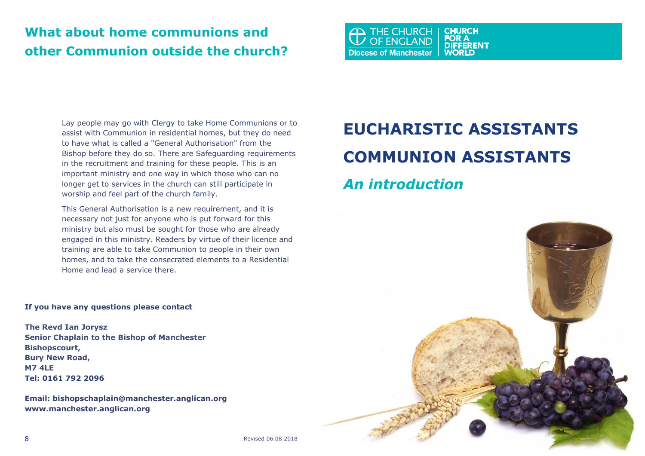# **What about home communions and other Communion outside the church?**



Lay people may go with Clergy to take Home Communions or to assist with Communion in residential homes, but they do need to have what is called a "General Authorisation" from the Bishop before they do so. There are Safeguarding requirements in the recruitment and training for these people. This is an important ministry and one way in which those who can no longer get to services in the church can still participate in worship and feel part of the church family.

This General Authorisation is a new requirement, and it is necessary not just for anyone who is put forward for this ministry but also must be sought for those who are already engaged in this ministry. Readers by virtue of their licence and training are able to take Communion to people in their own homes, and to take the consecrated elements to a Residential Home and lead a service there.

### **If you have any questions please contact**

**The Revd Ian Jorysz Senior Chaplain to the Bishop of Manchester Bishopscourt, Bury New Road, M7 4LE Tel: 0161 792 2096**

**Email: bishopschaplain@manchester.anglican.org www.manchester.anglican.org**

# **EUCHARISTIC ASSISTANTS COMMUNION ASSISTANTS**

### *An introduction*

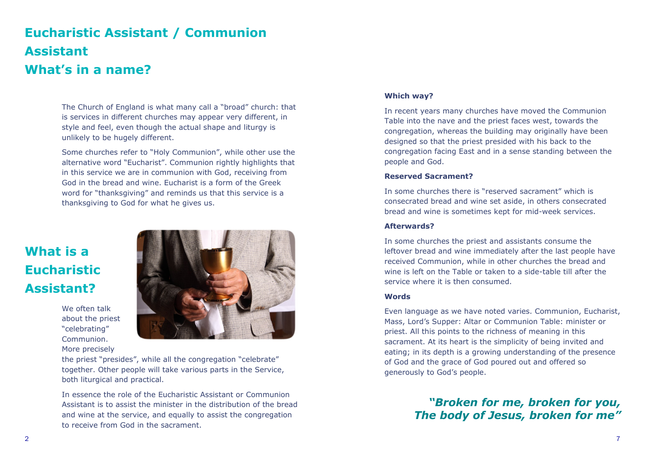# **Eucharistic Assistant / Communion Assistant What's in a name?**

The Church of England is what many call a "broad" church: that is services in different churches may appear very different, in style and feel, even though the actual shape and liturgy is unlikely to be hugely different.

Some churches refer to "Holy Communion", while other use the alternative word "Eucharist". Communion rightly highlights that in this service we are in communion with God, receiving from God in the bread and wine. Eucharist is a form of the Greek word for "thanksgiving" and reminds us that this service is a thanksgiving to God for what he gives us.

# **What is a Eucharistic Assistant?**

We often talk about the priest "celebrating" Communion. More precisely



the priest "presides", while all the congregation "celebrate" together. Other people will take various parts in the Service, both liturgical and practical.

In essence the role of the Eucharistic Assistant or Communion Assistant is to assist the minister in the distribution of the bread and wine at the service, and equally to assist the congregation to receive from God in the sacrament.

#### **Which way?**

In recent years many churches have moved the Communion Table into the nave and the priest faces west, towards the congregation, whereas the building may originally have been designed so that the priest presided with his back to the congregation facing East and in a sense standing between the people and God.

#### **Reserved Sacrament?**

In some churches there is "reserved sacrament" which is consecrated bread and wine set aside, in others consecrated bread and wine is sometimes kept for mid-week services.

### **Afterwards?**

In some churches the priest and assistants consume the leftover bread and wine immediately after the last people have received Communion, while in other churches the bread and wine is left on the Table or taken to a side-table till after the service where it is then consumed.

### **Words**

Even language as we have noted varies. Communion, Eucharist, Mass, Lord's Supper: Altar or Communion Table: minister or priest. All this points to the richness of meaning in this sacrament. At its heart is the simplicity of being invited and eating; in its depth is a growing understanding of the presence of God and the grace of God poured out and offered so generously to God's people.

> *"Broken for me, broken for you, The body of Jesus, broken for me"*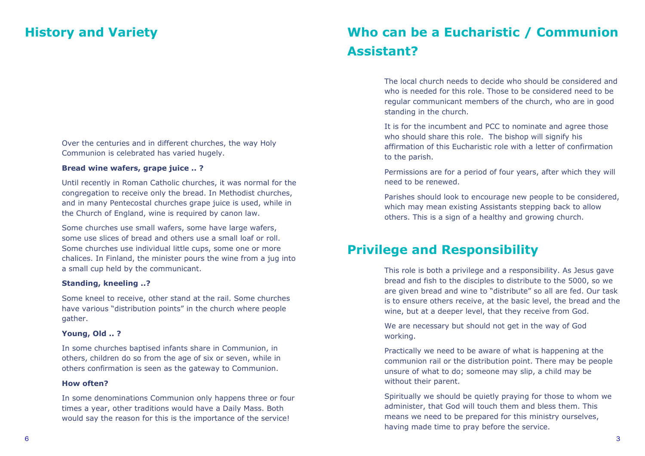### **History and Variety**

Over the centuries and in different churches, the way Holy Communion is celebrated has varied hugely.

#### **Bread wine wafers, grape juice .. ?**

Until recently in Roman Catholic churches, it was normal for the congregation to receive only the bread. In Methodist churches, and in many Pentecostal churches grape juice is used, while in the Church of England, wine is required by canon law.

Some churches use small wafers, some have large wafers, some use slices of bread and others use a small loaf or roll. Some churches use individual little cups, some one or more chalices. In Finland, the minister pours the wine from a jug into a small cup held by the communicant.

#### **Standing, kneeling ..?**

Some kneel to receive, other stand at the rail. Some churches have various "distribution points" in the church where people gather.

#### **Young, Old .. ?**

In some churches baptised infants share in Communion, in others, children do so from the age of six or seven, while in others confirmation is seen as the gateway to Communion.

#### **How often?**

In some denominations Communion only happens three or four times a year, other traditions would have a Daily Mass. Both would say the reason for this is the importance of the service!

## **Who can be a Eucharistic / Communion Assistant?**

The local church needs to decide who should be considered and who is needed for this role. Those to be considered need to be regular communicant members of the church, who are in good standing in the church.

It is for the incumbent and PCC to nominate and agree those who should share this role. The bishop will signify his affirmation of this Eucharistic role with a letter of confirmation to the parish.

Permissions are for a period of four years, after which they will need to be renewed.

Parishes should look to encourage new people to be considered, which may mean existing Assistants stepping back to allow others. This is a sign of a healthy and growing church.

### **Privilege and Responsibility**

This role is both a privilege and a responsibility. As Jesus gave bread and fish to the disciples to distribute to the 5000, so we are given bread and wine to "distribute" so all are fed. Our task is to ensure others receive, at the basic level, the bread and the wine, but at a deeper level, that they receive from God.

We are necessary but should not get in the way of God working.

Practically we need to be aware of what is happening at the communion rail or the distribution point. There may be people unsure of what to do; someone may slip, a child may be without their parent.

Spiritually we should be quietly praying for those to whom we administer, that God will touch them and bless them. This means we need to be prepared for this ministry ourselves, having made time to pray before the service.